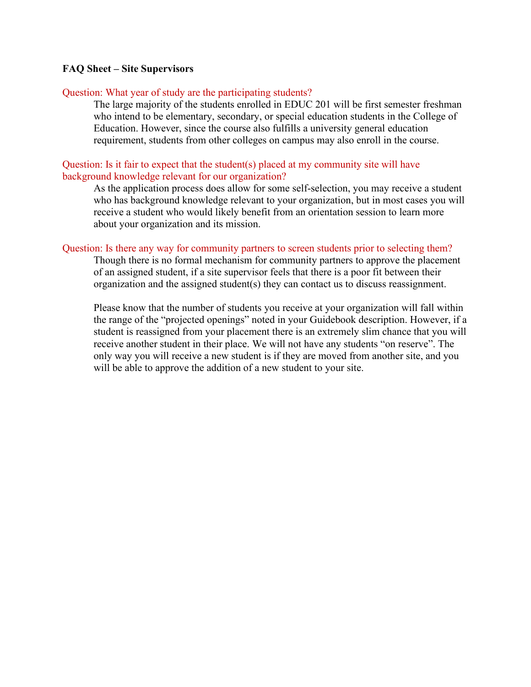# **FAQ Sheet – Site Supervisors**

## Question: What year of study are the participating students?

The large majority of the students enrolled in EDUC 201 will be first semester freshman who intend to be elementary, secondary, or special education students in the College of Education. However, since the course also fulfills a university general education requirement, students from other colleges on campus may also enroll in the course.

## Question: Is it fair to expect that the student(s) placed at my community site will have background knowledge relevant for our organization?

As the application process does allow for some self-selection, you may receive a student who has background knowledge relevant to your organization, but in most cases you will receive a student who would likely benefit from an orientation session to learn more about your organization and its mission.

## Question: Is there any way for community partners to screen students prior to selecting them?

Though there is no formal mechanism for community partners to approve the placement of an assigned student, if a site supervisor feels that there is a poor fit between their organization and the assigned student(s) they can contact us to discuss reassignment.

Please know that the number of students you receive at your organization will fall within the range of the "projected openings" noted in your Guidebook description. However, if a student is reassigned from your placement there is an extremely slim chance that you will receive another student in their place. We will not have any students "on reserve". The only way you will receive a new student is if they are moved from another site, and you will be able to approve the addition of a new student to your site.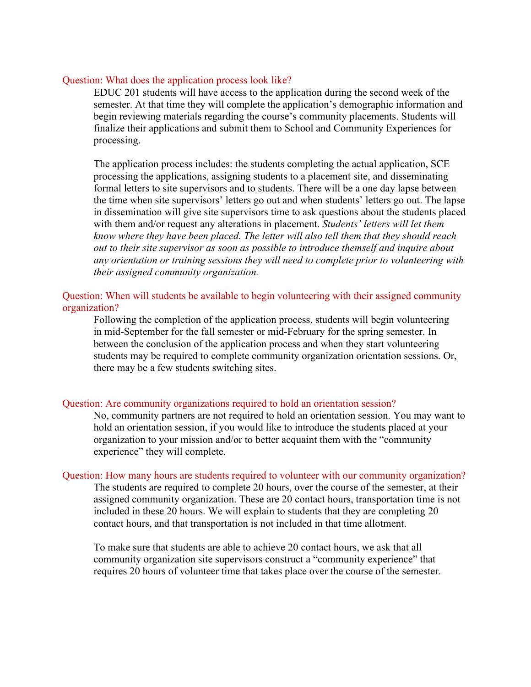#### Question: What does the application process look like?

EDUC 201 students will have access to the application during the second week of the semester. At that time they will complete the application's demographic information and begin reviewing materials regarding the course's community placements. Students will finalize their applications and submit them to School and Community Experiences for processing.

The application process includes: the students completing the actual application, SCE processing the applications, assigning students to a placement site, and disseminating formal letters to site supervisors and to students. There will be a one day lapse between the time when site supervisors' letters go out and when students' letters go out. The lapse in dissemination will give site supervisors time to ask questions about the students placed with them and/or request any alterations in placement. *Students' letters will let them know where they have been placed. The letter will also tell them that they should reach out to their site supervisor as soon as possible to introduce themself and inquire about any orientation or training sessions they will need to complete prior to volunteering with their assigned community organization.* 

# Question: When will students be available to begin volunteering with their assigned community organization?

Following the completion of the application process, students will begin volunteering in mid-September for the fall semester or mid-February for the spring semester. In between the conclusion of the application process and when they start volunteering students may be required to complete community organization orientation sessions. Or, there may be a few students switching sites.

#### Question: Are community organizations required to hold an orientation session?

No, community partners are not required to hold an orientation session. You may want to hold an orientation session, if you would like to introduce the students placed at your organization to your mission and/or to better acquaint them with the "community experience" they will complete.

#### Question: How many hours are students required to volunteer with our community organization?

The students are required to complete 20 hours, over the course of the semester, at their assigned community organization. These are 20 contact hours, transportation time is not included in these 20 hours. We will explain to students that they are completing 20 contact hours, and that transportation is not included in that time allotment.

To make sure that students are able to achieve 20 contact hours, we ask that all community organization site supervisors construct a "community experience" that requires 20 hours of volunteer time that takes place over the course of the semester.